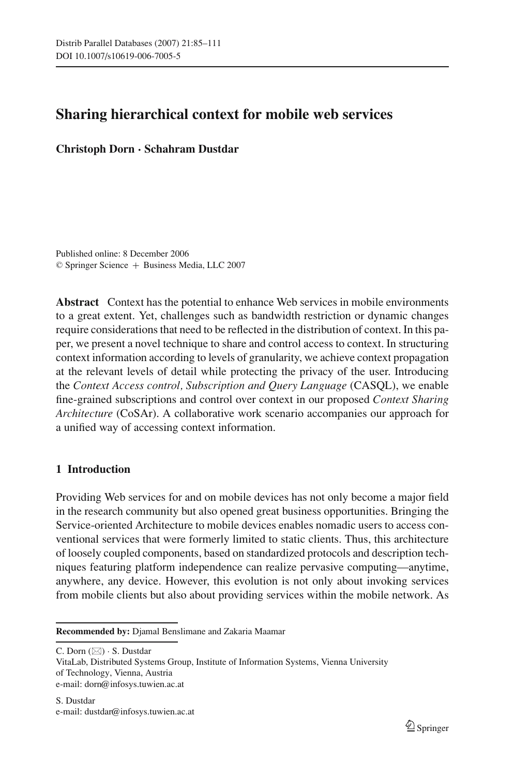# **Sharing hierarchical context for mobile web services**

**Christoph Dorn · Schahram Dustdar**

Published online: 8 December 2006 <sup>C</sup> Springer Science + Business Media, LLC 2007

**Abstract** Context has the potential to enhance Web services in mobile environments to a great extent. Yet, challenges such as bandwidth restriction or dynamic changes require considerations that need to be reflected in the distribution of context. In this paper, we present a novel technique to share and control access to context. In structuring context information according to levels of granularity, we achieve context propagation at the relevant levels of detail while protecting the privacy of the user. Introducing the *Context Access control, Subscription and Query Language* (CASQL), we enable fine-grained subscriptions and control over context in our proposed *Context Sharing Architecture* (CoSAr). A collaborative work scenario accompanies our approach for a unified way of accessing context information.

# **1 Introduction**

Providing Web services for and on mobile devices has not only become a major field in the research community but also opened great business opportunities. Bringing the Service-oriented Architecture to mobile devices enables nomadic users to access conventional services that were formerly limited to static clients. Thus, this architecture of loosely coupled components, based on standardized protocols and description techniques featuring platform independence can realize pervasive computing—anytime, anywhere, any device. However, this evolution is not only about invoking services from mobile clients but also about providing services within the mobile network. As

**Recommended by:** Djamal Benslimane and Zakaria Maamar

C. Dorn  $(\boxtimes) \cdot$  S. Dustdar

VitaLab, Distributed Systems Group, Institute of Information Systems, Vienna University of Technology, Vienna, Austria e-mail: dorn@infosys.tuwien.ac.at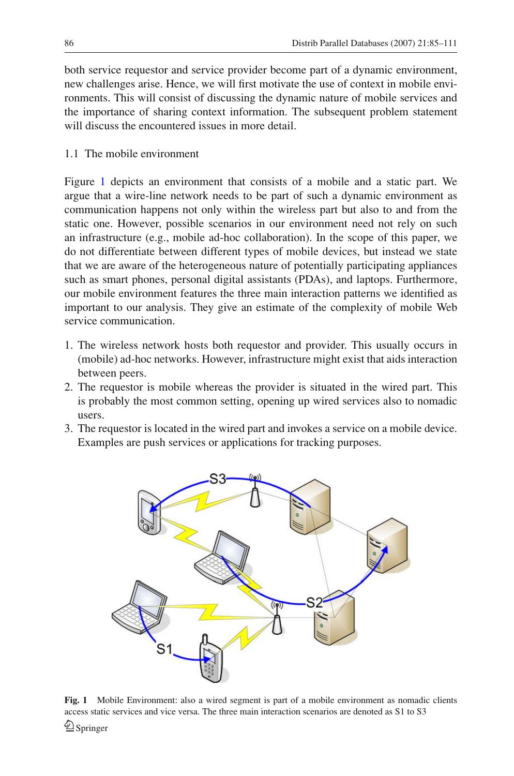both service requestor and service provider become part of a dynamic environment, new challenges arise. Hence, we will first motivate the use of context in mobile environments. This will consist of discussing the dynamic nature of mobile services and the importance of sharing context information. The subsequent problem statement will discuss the encountered issues in more detail.

1.1 The mobile environment

Figure [1](#page-1-0) depicts an environment that consists of a mobile and a static part. We argue that a wire-line network needs to be part of such a dynamic environment as communication happens not only within the wireless part but also to and from the static one. However, possible scenarios in our environment need not rely on such an infrastructure (e.g., mobile ad-hoc collaboration). In the scope of this paper, we do not differentiate between different types of mobile devices, but instead we state that we are aware of the heterogeneous nature of potentially participating appliances such as smart phones, personal digital assistants (PDAs), and laptops. Furthermore, our mobile environment features the three main interaction patterns we identified as important to our analysis. They give an estimate of the complexity of mobile Web service communication.

- 1. The wireless network hosts both requestor and provider. This usually occurs in (mobile) ad-hoc networks. However, infrastructure might exist that aids interaction between peers.
- 2. The requestor is mobile whereas the provider is situated in the wired part. This is probably the most common setting, opening up wired services also to nomadic users.
- <span id="page-1-0"></span>3. The requestor is located in the wired part and invokes a service on a mobile device. Examples are push services or applications for tracking purposes.



**Fig. 1** Mobile Environment: also a wired segment is part of a mobile environment as nomadic clients access static services and vice versa. The three main interaction scenarios are denoted as S1 to S3  $\mathcal{Q}_{\text{Springer}}$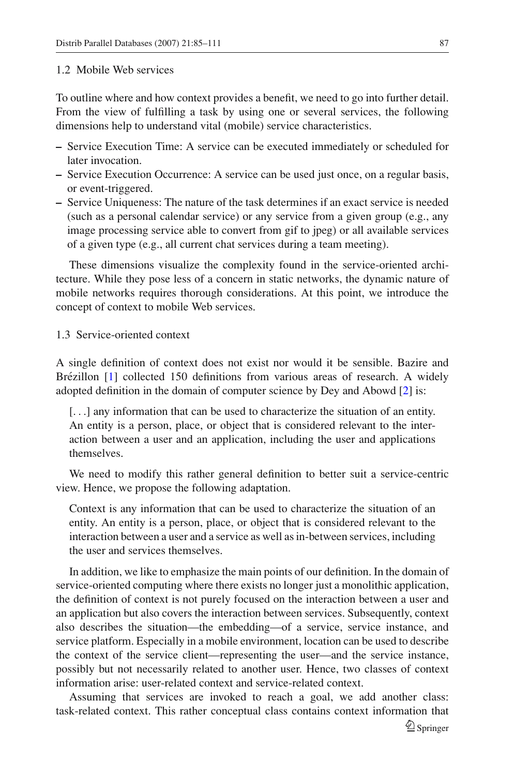#### 1.2 Mobile Web services

To outline where and how context provides a benefit, we need to go into further detail. From the view of fulfilling a task by using one or several services, the following dimensions help to understand vital (mobile) service characteristics.

- **–** Service Execution Time: A service can be executed immediately or scheduled for later invocation.
- **–** Service Execution Occurrence: A service can be used just once, on a regular basis, or event-triggered.
- **–** Service Uniqueness: The nature of the task determines if an exact service is needed (such as a personal calendar service) or any service from a given group (e.g., any image processing service able to convert from gif to jpeg) or all available services of a given type (e.g., all current chat services during a team meeting).

These dimensions visualize the complexity found in the service-oriented architecture. While they pose less of a concern in static networks, the dynamic nature of mobile networks requires thorough considerations. At this point, we introduce the concept of context to mobile Web services.

## 1.3 Service-oriented context

A single definition of context does not exist nor would it be sensible. Bazire and Brézillon [[1\]](#page-25-0) collected 150 definitions from various areas of research. A widely adopted definition in the domain of computer science by Dey and Abowd [\[2\]](#page-25-1) is:

[...] any information that can be used to characterize the situation of an entity. An entity is a person, place, or object that is considered relevant to the interaction between a user and an application, including the user and applications themselves.

We need to modify this rather general definition to better suit a service-centric view. Hence, we propose the following adaptation.

Context is any information that can be used to characterize the situation of an entity. An entity is a person, place, or object that is considered relevant to the interaction between a user and a service as well as in-between services, including the user and services themselves.

In addition, we like to emphasize the main points of our definition. In the domain of service-oriented computing where there exists no longer just a monolithic application, the definition of context is not purely focused on the interaction between a user and an application but also covers the interaction between services. Subsequently, context also describes the situation—the embedding—of a service, service instance, and service platform. Especially in a mobile environment, location can be used to describe the context of the service client—representing the user—and the service instance, possibly but not necessarily related to another user. Hence, two classes of context information arise: user-related context and service-related context.

Assuming that services are invoked to reach a goal, we add another class: task-related context. This rather conceptual class contains context information that  $\mathcal{Q}$  Springer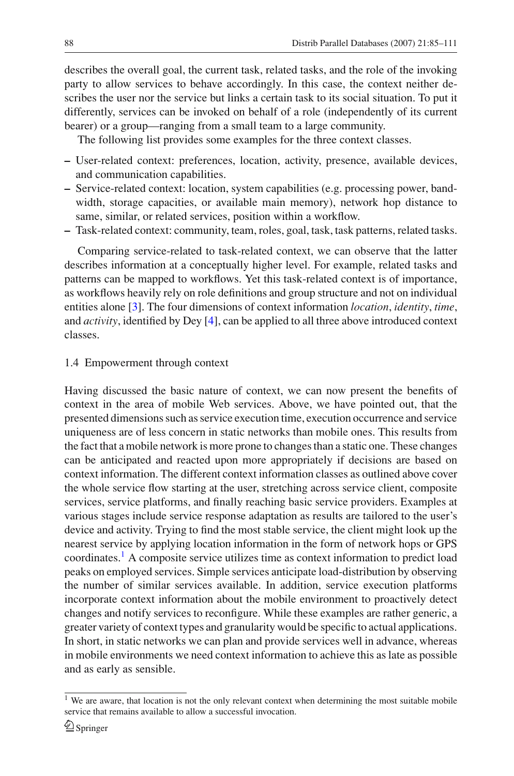describes the overall goal, the current task, related tasks, and the role of the invoking party to allow services to behave accordingly. In this case, the context neither describes the user nor the service but links a certain task to its social situation. To put it differently, services can be invoked on behalf of a role (independently of its current bearer) or a group—ranging from a small team to a large community.

The following list provides some examples for the three context classes.

- **–** User-related context: preferences, location, activity, presence, available devices, and communication capabilities.
- **–** Service-related context: location, system capabilities (e.g. processing power, bandwidth, storage capacities, or available main memory), network hop distance to same, similar, or related services, position within a workflow.
- **–** Task-related context: community, team, roles, goal, task, task patterns, related tasks.

Comparing service-related to task-related context, we can observe that the latter describes information at a conceptually higher level. For example, related tasks and patterns can be mapped to workflows. Yet this task-related context is of importance, as workflows heavily rely on role definitions and group structure and not on individual entities alone [\[3\]](#page-25-2). The four dimensions of context information *location*, *identity*, *time*, and *activity*, identified by Dey [\[4\]](#page-25-3), can be applied to all three above introduced context classes.

### 1.4 Empowerment through context

Having discussed the basic nature of context, we can now present the benefits of context in the area of mobile Web services. Above, we have pointed out, that the presented dimensions such as service execution time, execution occurrence and service uniqueness are of less concern in static networks than mobile ones. This results from the fact that a mobile network is more prone to changes than a static one. These changes can be anticipated and reacted upon more appropriately if decisions are based on context information. The different context information classes as outlined above cover the whole service flow starting at the user, stretching across service client, composite services, service platforms, and finally reaching basic service providers. Examples at various stages include service response adaptation as results are tailored to the user's device and activity. Trying to find the most stable service, the client might look up the nearest service by applying location information in the form of network hops or GPS coordinates.[1](#page-3-0) A composite service utilizes time as context information to predict load peaks on employed services. Simple services anticipate load-distribution by observing the number of similar services available. In addition, service execution platforms incorporate context information about the mobile environment to proactively detect changes and notify services to reconfigure. While these examples are rather generic, a greater variety of context types and granularity would be specific to actual applications. In short, in static networks we can plan and provide services well in advance, whereas in mobile environments we need context information to achieve this as late as possible and as early as sensible.

<span id="page-3-0"></span><sup>&</sup>lt;sup>1</sup> We are aware, that location is not the only relevant context when determining the most suitable mobile service that remains available to allow a successful invocation.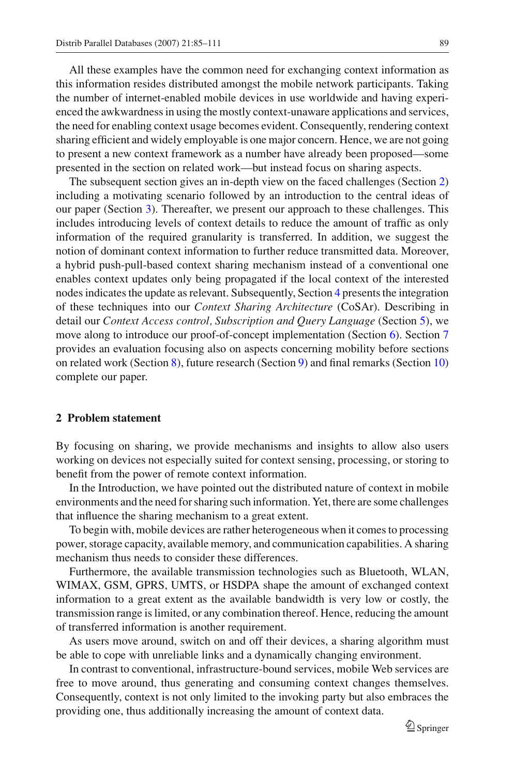All these examples have the common need for exchanging context information as this information resides distributed amongst the mobile network participants. Taking the number of internet-enabled mobile devices in use worldwide and having experienced the awkwardness in using the mostly context-unaware applications and services, the need for enabling context usage becomes evident. Consequently, rendering context sharing efficient and widely employable is one major concern. Hence, we are not going to present a new context framework as a number have already been proposed—some presented in the section on related work—but instead focus on sharing aspects.

The subsequent section gives an in-depth view on the faced challenges (Section [2\)](#page-4-0) including a motivating scenario followed by an introduction to the central ideas of our paper (Section [3\)](#page-7-0). Thereafter, we present our approach to these challenges. This includes introducing levels of context details to reduce the amount of traffic as only information of the required granularity is transferred. In addition, we suggest the notion of dominant context information to further reduce transmitted data. Moreover, a hybrid push-pull-based context sharing mechanism instead of a conventional one enables context updates only being propagated if the local context of the interested nodes indicates the update as relevant. Subsequently, Section [4](#page-9-0) presents the integration of these techniques into our *Context Sharing Architecture* (CoSAr). Describing in detail our *Context Access control, Subscription and Query Language* (Section [5\)](#page-15-0), we move along to introduce our proof-of-concept implementation (Section [6\)](#page-17-0). Section [7](#page-19-0) provides an evaluation focusing also on aspects concerning mobility before sections on related work (Section [8\)](#page-22-0), future research (Section [9\)](#page-23-0) and final remarks (Section [10\)](#page-23-1) complete our paper.

### <span id="page-4-0"></span>**2 Problem statement**

By focusing on sharing, we provide mechanisms and insights to allow also users working on devices not especially suited for context sensing, processing, or storing to benefit from the power of remote context information.

In the Introduction, we have pointed out the distributed nature of context in mobile environments and the need for sharing such information. Yet, there are some challenges that influence the sharing mechanism to a great extent.

To begin with, mobile devices are rather heterogeneous when it comes to processing power, storage capacity, available memory, and communication capabilities. A sharing mechanism thus needs to consider these differences.

Furthermore, the available transmission technologies such as Bluetooth, WLAN, WIMAX, GSM, GPRS, UMTS, or HSDPA shape the amount of exchanged context information to a great extent as the available bandwidth is very low or costly, the transmission range is limited, or any combination thereof. Hence, reducing the amount of transferred information is another requirement.

As users move around, switch on and off their devices, a sharing algorithm must be able to cope with unreliable links and a dynamically changing environment.

In contrast to conventional, infrastructure-bound services, mobile Web services are free to move around, thus generating and consuming context changes themselves. Consequently, context is not only limited to the invoking party but also embraces the providing one, thus additionally increasing the amount of context data.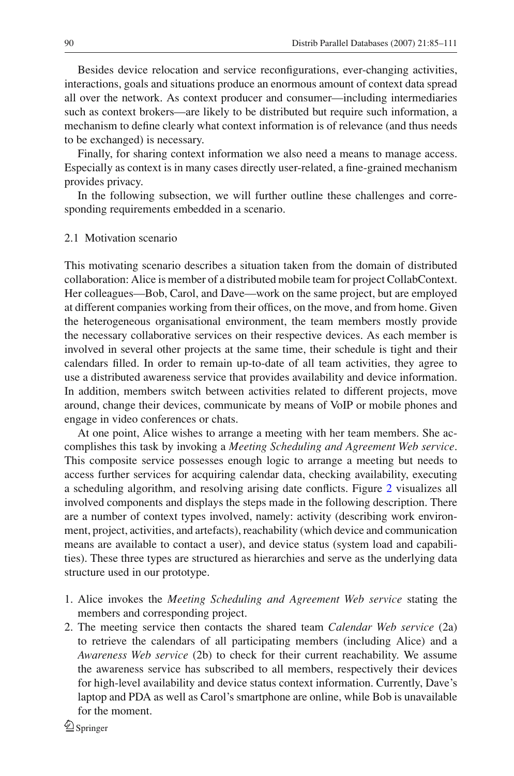Besides device relocation and service reconfigurations, ever-changing activities, interactions, goals and situations produce an enormous amount of context data spread all over the network. As context producer and consumer—including intermediaries such as context brokers—are likely to be distributed but require such information, a mechanism to define clearly what context information is of relevance (and thus needs to be exchanged) is necessary.

Finally, for sharing context information we also need a means to manage access. Especially as context is in many cases directly user-related, a fine-grained mechanism provides privacy.

In the following subsection, we will further outline these challenges and corresponding requirements embedded in a scenario.

#### 2.1 Motivation scenario

This motivating scenario describes a situation taken from the domain of distributed collaboration: Alice is member of a distributed mobile team for project CollabContext. Her colleagues—Bob, Carol, and Dave—work on the same project, but are employed at different companies working from their offices, on the move, and from home. Given the heterogeneous organisational environment, the team members mostly provide the necessary collaborative services on their respective devices. As each member is involved in several other projects at the same time, their schedule is tight and their calendars filled. In order to remain up-to-date of all team activities, they agree to use a distributed awareness service that provides availability and device information. In addition, members switch between activities related to different projects, move around, change their devices, communicate by means of VoIP or mobile phones and engage in video conferences or chats.

At one point, Alice wishes to arrange a meeting with her team members. She accomplishes this task by invoking a *Meeting Scheduling and Agreement Web service*. This composite service possesses enough logic to arrange a meeting but needs to access further services for acquiring calendar data, checking availability, executing a scheduling algorithm, and resolving arising date conflicts. Figure [2](#page-6-0) visualizes all involved components and displays the steps made in the following description. There are a number of context types involved, namely: activity (describing work environment, project, activities, and artefacts), reachability (which device and communication means are available to contact a user), and device status (system load and capabilities). These three types are structured as hierarchies and serve as the underlying data structure used in our prototype.

- 1. Alice invokes the *Meeting Scheduling and Agreement Web service* stating the members and corresponding project.
- 2. The meeting service then contacts the shared team *Calendar Web service* (2a) to retrieve the calendars of all participating members (including Alice) and a *Awareness Web service* (2b) to check for their current reachability. We assume the awareness service has subscribed to all members, respectively their devices for high-level availability and device status context information. Currently, Dave's laptop and PDA as well as Carol's smartphone are online, while Bob is unavailable for the moment.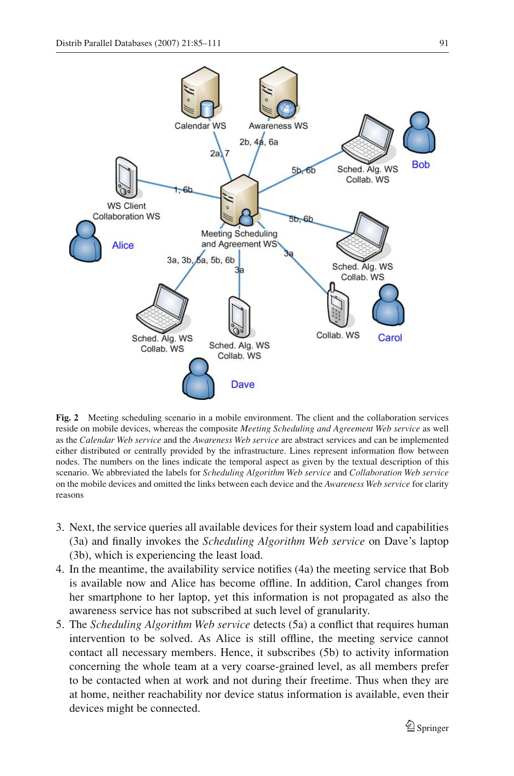<span id="page-6-0"></span>

**Fig. 2** Meeting scheduling scenario in a mobile environment. The client and the collaboration services reside on mobile devices, whereas the composite *Meeting Scheduling and Agreement Web service* as well as the *Calendar Web service* and the *Awareness Web service* are abstract services and can be implemented either distributed or centrally provided by the infrastructure. Lines represent information flow between nodes. The numbers on the lines indicate the temporal aspect as given by the textual description of this scenario. We abbreviated the labels for *Scheduling Algorithm Web service* and *Collaboration Web service* on the mobile devices and omitted the links between each device and the *Awareness Web service* for clarity reasons

- 3. Next, the service queries all available devices for their system load and capabilities (3a) and finally invokes the *Scheduling Algorithm Web service* on Dave's laptop (3b), which is experiencing the least load.
- 4. In the meantime, the availability service notifies (4a) the meeting service that Bob is available now and Alice has become offline. In addition, Carol changes from her smartphone to her laptop, yet this information is not propagated as also the awareness service has not subscribed at such level of granularity.
- 5. The *Scheduling Algorithm Web service* detects (5a) a conflict that requires human intervention to be solved. As Alice is still offline, the meeting service cannot contact all necessary members. Hence, it subscribes (5b) to activity information concerning the whole team at a very coarse-grained level, as all members prefer to be contacted when at work and not during their freetime. Thus when they are at home, neither reachability nor device status information is available, even their devices might be connected.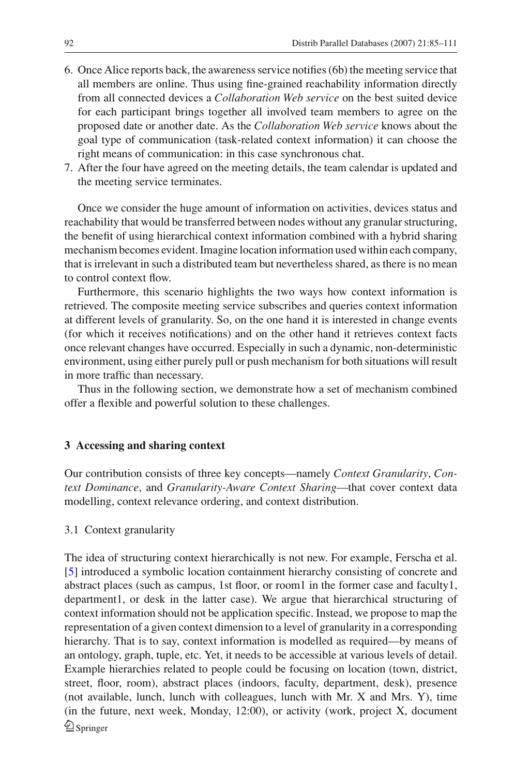- 6. Once Alice reports back, the awareness service notifies (6b) the meeting service that all members are online. Thus using fine-grained reachability information directly from all connected devices a *Collaboration Web service* on the best suited device for each participant brings together all involved team members to agree on the proposed date or another date. As the *Collaboration Web service* knows about the goal type of communication (task-related context information) it can choose the right means of communication: in this case synchronous chat.
- 7. After the four have agreed on the meeting details, the team calendar is updated and the meeting service terminates.

Once we consider the huge amount of information on activities, devices status and reachability that would be transferred between nodes without any granular structuring, the benefit of using hierarchical context information combined with a hybrid sharing mechanism becomes evident. Imagine location information used within each company, that is irrelevant in such a distributed team but nevertheless shared, as there is no mean to control context flow.

Furthermore, this scenario highlights the two ways how context information is retrieved. The composite meeting service subscribes and queries context information at different levels of granularity. So, on the one hand it is interested in change events (for which it receives notifications) and on the other hand it retrieves context facts once relevant changes have occurred. Especially in such a dynamic, non-deterministic environment, using either purely pull or push mechanism for both situations will result in more traffic than necessary.

Thus in the following section, we demonstrate how a set of mechanism combined offer a flexible and powerful solution to these challenges.

### <span id="page-7-0"></span>**3 Accessing and sharing context**

Our contribution consists of three key concepts—namely *Context Granularity*, *Context Dominance*, and *Granularity-Aware Context Sharing*—that cover context data modelling, context relevance ordering, and context distribution.

#### 3.1 Context granularity

The idea of structuring context hierarchically is not new. For example, Ferscha et al. [\[5\]](#page-25-4) introduced a symbolic location containment hierarchy consisting of concrete and abstract places (such as campus, 1st floor, or room1 in the former case and faculty1, department1, or desk in the latter case). We argue that hierarchical structuring of context information should not be application specific. Instead, we propose to map the representation of a given context dimension to a level of granularity in a corresponding hierarchy. That is to say, context information is modelled as required—by means of an ontology, graph, tuple, etc. Yet, it needs to be accessible at various levels of detail. Example hierarchies related to people could be focusing on location (town, district, street, floor, room), abstract places (indoors, faculty, department, desk), presence (not available, lunch, lunch with colleagues, lunch with Mr. X and Mrs. Y), time (in the future, next week, Monday, 12:00), or activity (work, project X, document  $\mathcal{Q}_{\text{Springer}}$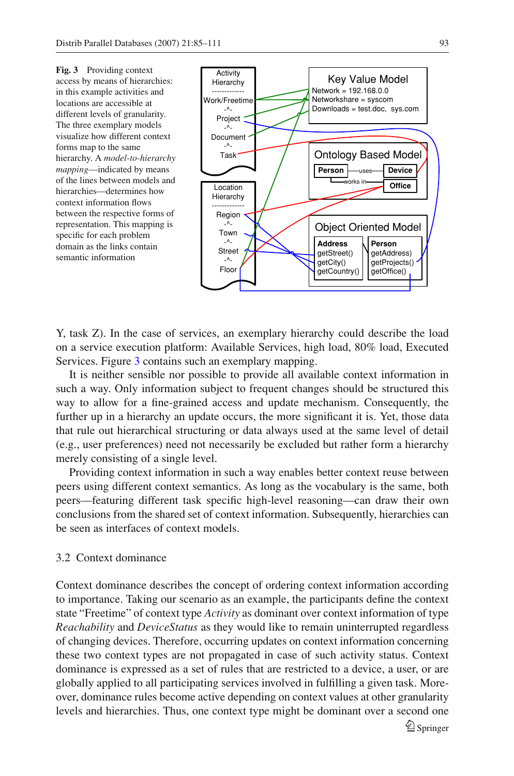<span id="page-8-0"></span>

Y, task Z). In the case of services, an exemplary hierarchy could describe the load on a service execution platform: Available Services, high load, 80% load, Executed Services. Figure [3](#page-8-0) contains such an exemplary mapping.

It is neither sensible nor possible to provide all available context information in such a way. Only information subject to frequent changes should be structured this way to allow for a fine-grained access and update mechanism. Consequently, the further up in a hierarchy an update occurs, the more significant it is. Yet, those data that rule out hierarchical structuring or data always used at the same level of detail (e.g., user preferences) need not necessarily be excluded but rather form a hierarchy merely consisting of a single level.

Providing context information in such a way enables better context reuse between peers using different context semantics. As long as the vocabulary is the same, both peers—featuring different task specific high-level reasoning—can draw their own conclusions from the shared set of context information. Subsequently, hierarchies can be seen as interfaces of context models.

## 3.2 Context dominance

Context dominance describes the concept of ordering context information according to importance. Taking our scenario as an example, the participants define the context state "Freetime" of context type *Activity* as dominant over context information of type *Reachability* and *DeviceStatus* as they would like to remain uninterrupted regardless of changing devices. Therefore, occurring updates on context information concerning these two context types are not propagated in case of such activity status. Context dominance is expressed as a set of rules that are restricted to a device, a user, or are globally applied to all participating services involved in fulfilling a given task. Moreover, dominance rules become active depending on context values at other granularity levels and hierarchies. Thus, one context type might be dominant over a second one  $\mathcal{Q}_{\text{Springer}}$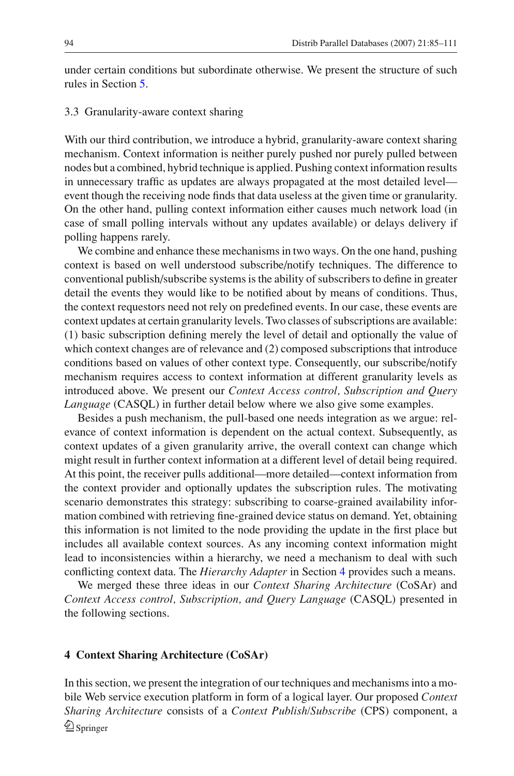under certain conditions but subordinate otherwise. We present the structure of such rules in Section [5.](#page-15-0)

#### 3.3 Granularity-aware context sharing

With our third contribution, we introduce a hybrid, granularity-aware context sharing mechanism. Context information is neither purely pushed nor purely pulled between nodes but a combined, hybrid technique is applied. Pushing context information results in unnecessary traffic as updates are always propagated at the most detailed level event though the receiving node finds that data useless at the given time or granularity. On the other hand, pulling context information either causes much network load (in case of small polling intervals without any updates available) or delays delivery if polling happens rarely.

We combine and enhance these mechanisms in two ways. On the one hand, pushing context is based on well understood subscribe/notify techniques. The difference to conventional publish/subscribe systems is the ability of subscribers to define in greater detail the events they would like to be notified about by means of conditions. Thus, the context requestors need not rely on predefined events. In our case, these events are context updates at certain granularity levels. Two classes of subscriptions are available: (1) basic subscription defining merely the level of detail and optionally the value of which context changes are of relevance and (2) composed subscriptions that introduce conditions based on values of other context type. Consequently, our subscribe/notify mechanism requires access to context information at different granularity levels as introduced above. We present our *Context Access control, Subscription and Query Language* (CASQL) in further detail below where we also give some examples.

Besides a push mechanism, the pull-based one needs integration as we argue: relevance of context information is dependent on the actual context. Subsequently, as context updates of a given granularity arrive, the overall context can change which might result in further context information at a different level of detail being required. At this point, the receiver pulls additional—more detailed—context information from the context provider and optionally updates the subscription rules. The motivating scenario demonstrates this strategy: subscribing to coarse-grained availability information combined with retrieving fine-grained device status on demand. Yet, obtaining this information is not limited to the node providing the update in the first place but includes all available context sources. As any incoming context information might lead to inconsistencies within a hierarchy, we need a mechanism to deal with such conflicting context data. The *Hierarchy Adapter* in Section [4](#page-9-0) provides such a means.

We merged these three ideas in our *Context Sharing Architecture* (CoSAr) and *Context Access control, Subscription, and Query Language* (CASQL) presented in the following sections.

### <span id="page-9-0"></span>**4 Context Sharing Architecture (CoSAr)**

In this section, we present the integration of our techniques and mechanisms into a mobile Web service execution platform in form of a logical layer. Our proposed *Context Sharing Architecture* consists of a *Context Publish/Subscribe* (CPS) component, a  $\mathcal{Q}_{\text{Springer}}$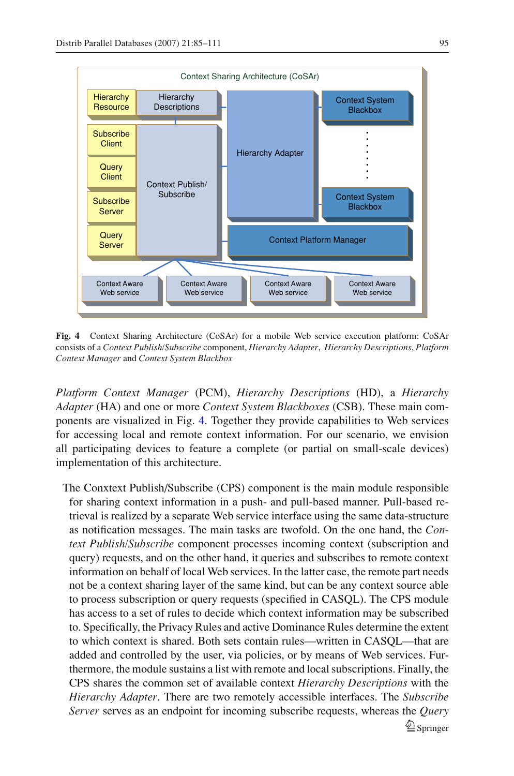<span id="page-10-0"></span>

**Fig. 4** Context Sharing Architecture (CoSAr) for a mobile Web service execution platform: CoSAr consists of a *Context Publish/Subscribe* component, *Hierarchy Adapter*, *Hierarchy Descriptions*, *Platform Context Manager* and *Context System Blackbox*

*Platform Context Manager* (PCM), *Hierarchy Descriptions* (HD), a *Hierarchy Adapter* (HA) and one or more *Context System Blackboxes* (CSB). These main components are visualized in Fig. [4.](#page-10-0) Together they provide capabilities to Web services for accessing local and remote context information. For our scenario, we envision all participating devices to feature a complete (or partial on small-scale devices) implementation of this architecture.

The Conxtext Publish/Subscribe (CPS) component is the main module responsible for sharing context information in a push- and pull-based manner. Pull-based retrieval is realized by a separate Web service interface using the same data-structure as notification messages. The main tasks are twofold. On the one hand, the *Context Publish/Subscribe* component processes incoming context (subscription and query) requests, and on the other hand, it queries and subscribes to remote context information on behalf of local Web services. In the latter case, the remote part needs not be a context sharing layer of the same kind, but can be any context source able to process subscription or query requests (specified in CASQL). The CPS module has access to a set of rules to decide which context information may be subscribed to. Specifically, the Privacy Rules and active Dominance Rules determine the extent to which context is shared. Both sets contain rules—written in CASQL—that are added and controlled by the user, via policies, or by means of Web services. Furthermore, the module sustains a list with remote and local subscriptions. Finally, the CPS shares the common set of available context *Hierarchy Descriptions* with the *Hierarchy Adapter*. There are two remotely accessible interfaces. The *Subscribe Server* serves as an endpoint for incoming subscribe requests, whereas the *Query*  $\mathcal{Q}_{\text{Springer}}$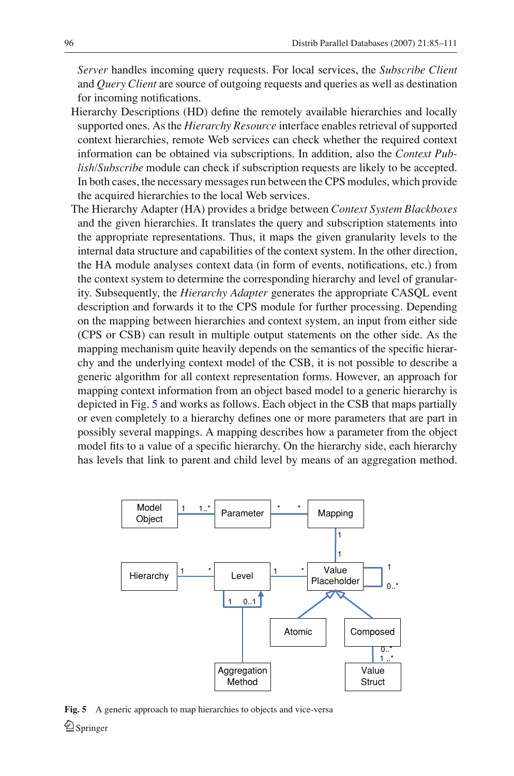*Server* handles incoming query requests. For local services, the *Subscribe Client* and *Query Client* are source of outgoing requests and queries as well as destination for incoming notifications.

- Hierarchy Descriptions (HD) define the remotely available hierarchies and locally supported ones. As the *Hierarchy Resource* interface enables retrieval of supported context hierarchies, remote Web services can check whether the required context information can be obtained via subscriptions. In addition, also the *Context Publish/Subscribe* module can check if subscription requests are likely to be accepted. In both cases, the necessary messages run between the CPS modules, which provide the acquired hierarchies to the local Web services.
- The Hierarchy Adapter (HA) provides a bridge between *Context System Blackboxes* and the given hierarchies. It translates the query and subscription statements into the appropriate representations. Thus, it maps the given granularity levels to the internal data structure and capabilities of the context system. In the other direction, the HA module analyses context data (in form of events, notifications, etc.) from the context system to determine the corresponding hierarchy and level of granularity. Subsequently, the *Hierarchy Adapter* generates the appropriate CASQL event description and forwards it to the CPS module for further processing. Depending on the mapping between hierarchies and context system, an input from either side (CPS or CSB) can result in multiple output statements on the other side. As the mapping mechanism quite heavily depends on the semantics of the specific hierarchy and the underlying context model of the CSB, it is not possible to describe a generic algorithm for all context representation forms. However, an approach for mapping context information from an object based model to a generic hierarchy is depicted in Fig. [5](#page-11-0) and works as follows. Each object in the CSB that maps partially or even completely to a hierarchy defines one or more parameters that are part in possibly several mappings. A mapping describes how a parameter from the object model fits to a value of a specific hierarchy. On the hierarchy side, each hierarchy has levels that link to parent and child level by means of an aggregation method.

<span id="page-11-0"></span>

Fig. 5 A generic approach to map hierarchies to objects and vice-versa  $\mathcal{Q}_{\text{Springer}}$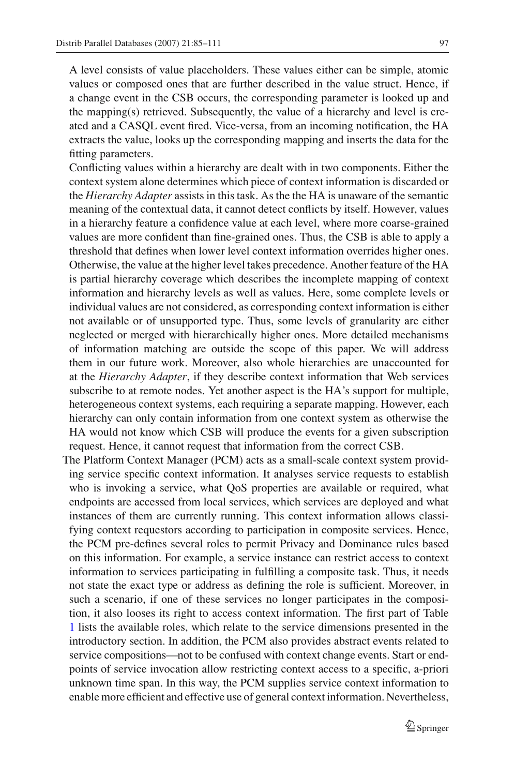A level consists of value placeholders. These values either can be simple, atomic values or composed ones that are further described in the value struct. Hence, if a change event in the CSB occurs, the corresponding parameter is looked up and the mapping(s) retrieved. Subsequently, the value of a hierarchy and level is created and a CASQL event fired. Vice-versa, from an incoming notification, the HA extracts the value, looks up the corresponding mapping and inserts the data for the fitting parameters.

Conflicting values within a hierarchy are dealt with in two components. Either the context system alone determines which piece of context information is discarded or the *Hierarchy Adapter* assists in this task. As the the HA is unaware of the semantic meaning of the contextual data, it cannot detect conflicts by itself. However, values in a hierarchy feature a confidence value at each level, where more coarse-grained values are more confident than fine-grained ones. Thus, the CSB is able to apply a threshold that defines when lower level context information overrides higher ones. Otherwise, the value at the higher level takes precedence. Another feature of the HA is partial hierarchy coverage which describes the incomplete mapping of context information and hierarchy levels as well as values. Here, some complete levels or individual values are not considered, as corresponding context information is either not available or of unsupported type. Thus, some levels of granularity are either neglected or merged with hierarchically higher ones. More detailed mechanisms of information matching are outside the scope of this paper. We will address them in our future work. Moreover, also whole hierarchies are unaccounted for at the *Hierarchy Adapter*, if they describe context information that Web services subscribe to at remote nodes. Yet another aspect is the HA's support for multiple, heterogeneous context systems, each requiring a separate mapping. However, each hierarchy can only contain information from one context system as otherwise the HA would not know which CSB will produce the events for a given subscription request. Hence, it cannot request that information from the correct CSB.

The Platform Context Manager (PCM) acts as a small-scale context system providing service specific context information. It analyses service requests to establish who is invoking a service, what QoS properties are available or required, what endpoints are accessed from local services, which services are deployed and what instances of them are currently running. This context information allows classifying context requestors according to participation in composite services. Hence, the PCM pre-defines several roles to permit Privacy and Dominance rules based on this information. For example, a service instance can restrict access to context information to services participating in fulfilling a composite task. Thus, it needs not state the exact type or address as defining the role is sufficient. Moreover, in such a scenario, if one of these services no longer participates in the composition, it also looses its right to access context information. The first part of Table [1](#page-13-0) lists the available roles, which relate to the service dimensions presented in the introductory section. In addition, the PCM also provides abstract events related to service compositions—not to be confused with context change events. Start or endpoints of service invocation allow restricting context access to a specific, a-priori unknown time span. In this way, the PCM supplies service context information to enable more efficient and effective use of general context information. Nevertheless,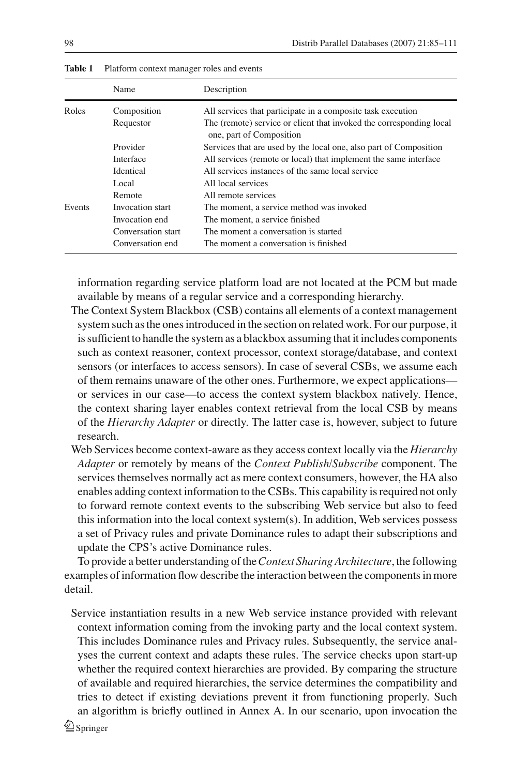|        | Name               | Description                                                                                     |  |  |  |  |
|--------|--------------------|-------------------------------------------------------------------------------------------------|--|--|--|--|
| Roles  | Composition        | All services that participate in a composite task execution                                     |  |  |  |  |
|        | Requestor          | The (remote) service or client that invoked the corresponding local<br>one, part of Composition |  |  |  |  |
|        | Provider           | Services that are used by the local one, also part of Composition                               |  |  |  |  |
|        | Interface          | All services (remote or local) that implement the same interface                                |  |  |  |  |
|        | <b>Identical</b>   | All services instances of the same local service                                                |  |  |  |  |
|        | Local              | All local services                                                                              |  |  |  |  |
|        | Remote             | All remote services                                                                             |  |  |  |  |
| Events | Invocation start   | The moment, a service method was invoked                                                        |  |  |  |  |
|        | Invocation end     | The moment, a service finished                                                                  |  |  |  |  |
|        | Conversation start | The moment a conversation is started                                                            |  |  |  |  |
|        | Conversation end   | The moment a conversation is finished                                                           |  |  |  |  |

<span id="page-13-0"></span>

information regarding service platform load are not located at the PCM but made available by means of a regular service and a corresponding hierarchy.

- The Context System Blackbox (CSB) contains all elements of a context management system such as the ones introduced in the section on related work. For our purpose, it is sufficient to handle the system as a blackbox assuming that it includes components such as context reasoner, context processor, context storage/database, and context sensors (or interfaces to access sensors). In case of several CSBs, we assume each of them remains unaware of the other ones. Furthermore, we expect applications or services in our case—to access the context system blackbox natively. Hence, the context sharing layer enables context retrieval from the local CSB by means of the *Hierarchy Adapter* or directly. The latter case is, however, subject to future research.
- Web Services become context-aware as they access context locally via the *Hierarchy Adapter* or remotely by means of the *Context Publish/Subscribe* component. The services themselves normally act as mere context consumers, however, the HA also enables adding context information to the CSBs. This capability is required not only to forward remote context events to the subscribing Web service but also to feed this information into the local context system(s). In addition, Web services possess a set of Privacy rules and private Dominance rules to adapt their subscriptions and update the CPS's active Dominance rules.

To provide a better understanding of the*Context Sharing Architecture*, the following examples of information flow describe the interaction between the components in more detail.

Service instantiation results in a new Web service instance provided with relevant context information coming from the invoking party and the local context system. This includes Dominance rules and Privacy rules. Subsequently, the service analyses the current context and adapts these rules. The service checks upon start-up whether the required context hierarchies are provided. By comparing the structure of available and required hierarchies, the service determines the compatibility and tries to detect if existing deviations prevent it from functioning properly. Such an algorithm is briefly outlined in Annex A. In our scenario, upon invocation the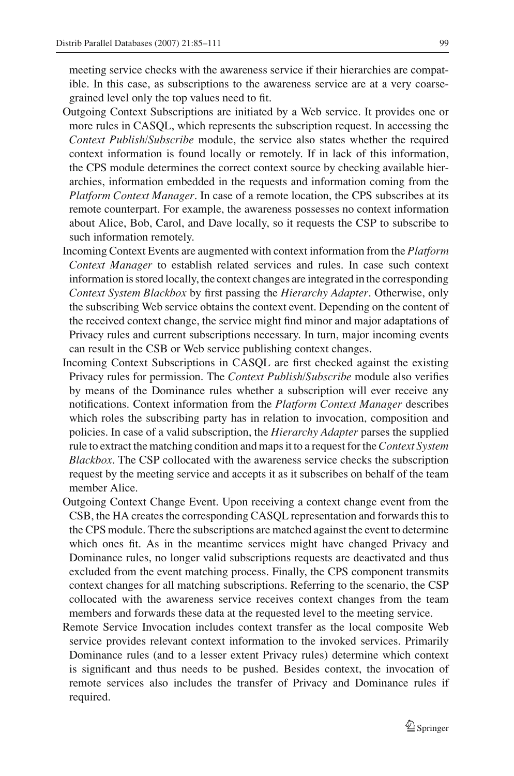meeting service checks with the awareness service if their hierarchies are compatible. In this case, as subscriptions to the awareness service are at a very coarsegrained level only the top values need to fit.

- Outgoing Context Subscriptions are initiated by a Web service. It provides one or more rules in CASQL, which represents the subscription request. In accessing the *Context Publish/Subscribe* module, the service also states whether the required context information is found locally or remotely. If in lack of this information, the CPS module determines the correct context source by checking available hierarchies, information embedded in the requests and information coming from the *Platform Context Manager*. In case of a remote location, the CPS subscribes at its remote counterpart. For example, the awareness possesses no context information about Alice, Bob, Carol, and Dave locally, so it requests the CSP to subscribe to such information remotely.
- Incoming Context Events are augmented with context information from the *Platform Context Manager* to establish related services and rules. In case such context information is stored locally, the context changes are integrated in the corresponding *Context System Blackbox* by first passing the *Hierarchy Adapter*. Otherwise, only the subscribing Web service obtains the context event. Depending on the content of the received context change, the service might find minor and major adaptations of Privacy rules and current subscriptions necessary. In turn, major incoming events can result in the CSB or Web service publishing context changes.
- Incoming Context Subscriptions in CASQL are first checked against the existing Privacy rules for permission. The *Context Publish/Subscribe* module also verifies by means of the Dominance rules whether a subscription will ever receive any notifications. Context information from the *Platform Context Manager* describes which roles the subscribing party has in relation to invocation, composition and policies. In case of a valid subscription, the *Hierarchy Adapter* parses the supplied rule to extract the matching condition and maps it to a request for the*Context System Blackbox*. The CSP collocated with the awareness service checks the subscription request by the meeting service and accepts it as it subscribes on behalf of the team member Alice.
- Outgoing Context Change Event. Upon receiving a context change event from the CSB, the HA creates the corresponding CASQL representation and forwards this to the CPS module. There the subscriptions are matched against the event to determine which ones fit. As in the meantime services might have changed Privacy and Dominance rules, no longer valid subscriptions requests are deactivated and thus excluded from the event matching process. Finally, the CPS component transmits context changes for all matching subscriptions. Referring to the scenario, the CSP collocated with the awareness service receives context changes from the team members and forwards these data at the requested level to the meeting service.
- Remote Service Invocation includes context transfer as the local composite Web service provides relevant context information to the invoked services. Primarily Dominance rules (and to a lesser extent Privacy rules) determine which context is significant and thus needs to be pushed. Besides context, the invocation of remote services also includes the transfer of Privacy and Dominance rules if required.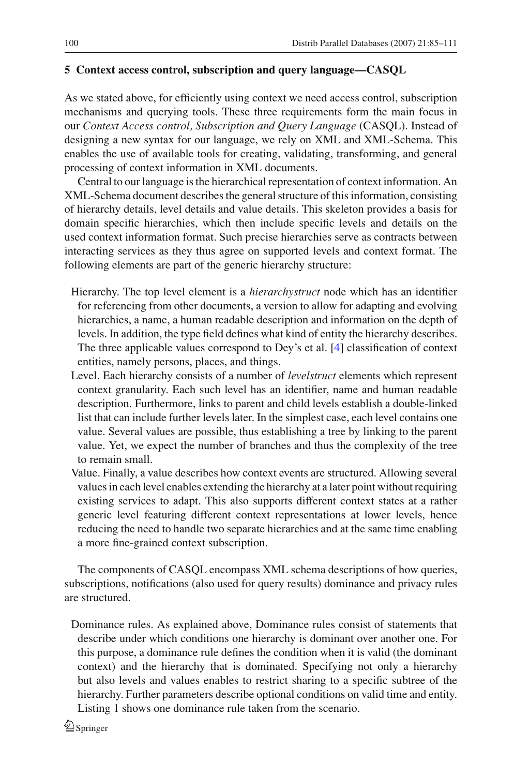## <span id="page-15-0"></span>**5 Context access control, subscription and query language—CASQL**

As we stated above, for efficiently using context we need access control, subscription mechanisms and querying tools. These three requirements form the main focus in our *Context Access control, Subscription and Query Language* (CASQL). Instead of designing a new syntax for our language, we rely on XML and XML-Schema. This enables the use of available tools for creating, validating, transforming, and general processing of context information in XML documents.

Central to our language is the hierarchical representation of context information. An XML-Schema document describes the general structure of this information, consisting of hierarchy details, level details and value details. This skeleton provides a basis for domain specific hierarchies, which then include specific levels and details on the used context information format. Such precise hierarchies serve as contracts between interacting services as they thus agree on supported levels and context format. The following elements are part of the generic hierarchy structure:

- Hierarchy. The top level element is a *hierarchystruct* node which has an identifier for referencing from other documents, a version to allow for adapting and evolving hierarchies, a name, a human readable description and information on the depth of levels. In addition, the type field defines what kind of entity the hierarchy describes. The three applicable values correspond to Dey's et al. [\[4\]](#page-25-3) classification of context entities, namely persons, places, and things.
- Level. Each hierarchy consists of a number of *levelstruct* elements which represent context granularity. Each such level has an identifier, name and human readable description. Furthermore, links to parent and child levels establish a double-linked list that can include further levels later. In the simplest case, each level contains one value. Several values are possible, thus establishing a tree by linking to the parent value. Yet, we expect the number of branches and thus the complexity of the tree to remain small.
- Value. Finally, a value describes how context events are structured. Allowing several values in each level enables extending the hierarchy at a later point without requiring existing services to adapt. This also supports different context states at a rather generic level featuring different context representations at lower levels, hence reducing the need to handle two separate hierarchies and at the same time enabling a more fine-grained context subscription.

The components of CASQL encompass XML schema descriptions of how queries, subscriptions, notifications (also used for query results) dominance and privacy rules are structured.

Dominance rules. As explained above, Dominance rules consist of statements that describe under which conditions one hierarchy is dominant over another one. For this purpose, a dominance rule defines the condition when it is valid (the dominant context) and the hierarchy that is dominated. Specifying not only a hierarchy but also levels and values enables to restrict sharing to a specific subtree of the hierarchy. Further parameters describe optional conditions on valid time and entity. Listing 1 shows one dominance rule taken from the scenario.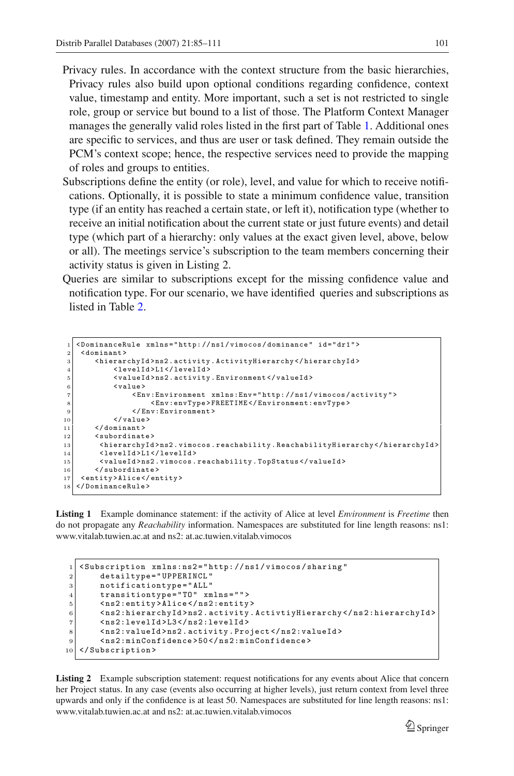- Privacy rules. In accordance with the context structure from the basic hierarchies, Privacy rules also build upon optional conditions regarding confidence, context value, timestamp and entity. More important, such a set is not restricted to single role, group or service but bound to a list of those. The Platform Context Manager manages the generally valid roles listed in the first part of Table [1.](#page-13-0) Additional ones are specific to services, and thus are user or task defined. They remain outside the PCM's context scope; hence, the respective services need to provide the mapping of roles and groups to entities.
- Subscriptions define the entity (or role), level, and value for which to receive notifications. Optionally, it is possible to state a minimum confidence value, transition type (if an entity has reached a certain state, or left it), notification type (whether to receive an initial notification about the current state or just future events) and detail type (which part of a hierarchy: only values at the exact given level, above, below or all). The meetings service's subscription to the team members concerning their activity status is given in Listing 2.
- Queries are similar to subscriptions except for the missing confidence value and notification type. For our scenario, we have identified queries and subscriptions as listed in Table [2.](#page-17-1)

```
1 <DominanceRule xmlns="http://ns1/vimocos/ dominance" id="dr1">
   2 <dominant>
      3 <hierarchyId>ns2.activity. ActivityHierarchy</hierarchyId>
          4 <levelId>L1</levelId>
5 <valueId>ns2.activity.Environment</valueId>
6 <value>
7 <Env:Environment xmlns:Env="http://ns1/vimocos/activity">
                 8 <Env:envType>FREETIME</Environment:envType>
             9 </Env:Environment>
10 </value>
11 </dominant>
12 <subordinate>
13 <hierarchyId>ns2.vimocos.reachability.ReachabilityHierarchy</hierarchyId>
14 <levelId>L1</levelId>
15 <valueId>ns2.vimocos. reachability.TopStatus</ valueId>
16 </subordinate>
17 <entity>Alice</entity>
18 </DominanceRule>
```
**Listing 1** Example dominance statement: if the activity of Alice at level *Environment* is *Freetime* then do not propagate any *Reachability* information. Namespaces are substituted for line length reasons: ns1: www.vitalab.tuwien.ac.at and ns2: at.ac.tuwien.vitalab.vimocos

```
1 <Subscription xmlns:ns2="http://ns1/vimocos/sharing"
2 detailtype="UPPERINCL"
3 notificationtype="ALL"
4 transitiontype="TO" xmlns="">
5 <ns2:entity>Alice</ns2:entity><br>strain-ins2.activity.
      6 <ns2:hierarchyId>ns2. activity. ActivtiyHierarchy</ns2:hierarchyId>
7 <ns2:levelId>L3</ns2:levelId>
8 <ns2:valueId>ns2.activity.Project</ns2:valueId>
9 <ns2:minConfidence>50</ns2:minConfidence>
10 </Subscription>
```
Listing 2 Example subscription statement: request notifications for any events about Alice that concern her Project status. In any case (events also occurring at higher levels), just return context from level three upwards and only if the confidence is at least 50. Namespaces are substituted for line length reasons: ns1: www.vitalab.tuwien.ac.at and ns2: at.ac.tuwien.vitalab.vimocos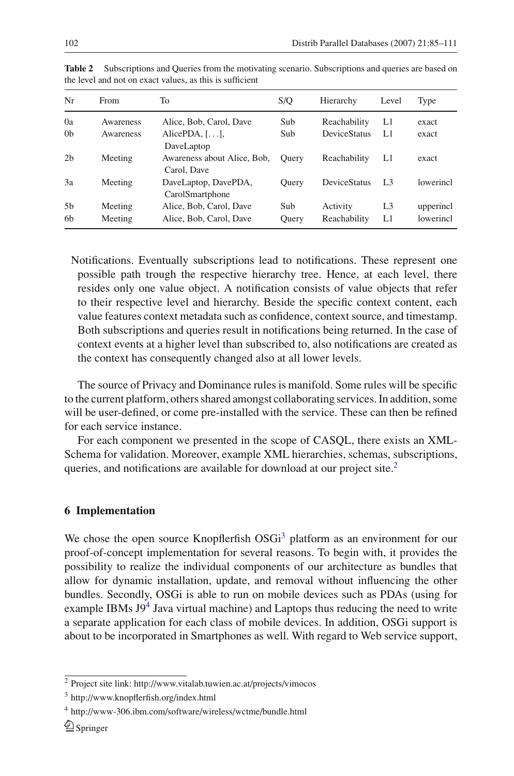| Nr             | From      | Тo                                         | S/O   | Hierarchy           | Level          | Type      |
|----------------|-----------|--------------------------------------------|-------|---------------------|----------------|-----------|
| 0a             | Awareness | Alice, Bob, Carol, Dave                    | Sub   | Reachability        | L1             | exact     |
| 0 <sub>b</sub> | Awareness | AlicePDA, $[\ldots]$ ,<br>DaveLaptop       | Sub   | <b>DeviceStatus</b> | L1             | exact     |
| 2 <sub>b</sub> | Meeting   | Awareness about Alice, Bob,<br>Carol, Dave | Ouerv | Reachability        | L1             | exact     |
| 3a             | Meeting   | DaveLaptop, DavePDA,<br>CarolSmartphone    | Ouery | <b>DeviceStatus</b> | L <sub>3</sub> | lowerincl |
| 5 <sub>b</sub> | Meeting   | Alice, Bob, Carol, Dave                    | Sub   | Activity            | L <sub>3</sub> | upperincl |
| 6 <sub>b</sub> | Meeting   | Alice, Bob, Carol, Dave                    | Ouery | Reachability        | L1             | lowerincl |

<span id="page-17-1"></span>**Table 2** Subscriptions and Queries from the motivating scenario. Subscriptions and queries are based on the level and not on exact values, as this is sufficient

Notifications. Eventually subscriptions lead to notifications. These represent one possible path trough the respective hierarchy tree. Hence, at each level, there resides only one value object. A notification consists of value objects that refer to their respective level and hierarchy. Beside the specific context content, each value features context metadata such as confidence, context source, and timestamp. Both subscriptions and queries result in notifications being returned. In the case of context events at a higher level than subscribed to, also notifications are created as the context has consequently changed also at all lower levels.

The source of Privacy and Dominance rules is manifold. Some rules will be specific to the current platform, others shared amongst collaborating services. In addition, some will be user-defined, or come pre-installed with the service. These can then be refined for each service instance.

For each component we presented in the scope of CASQL, there exists an XML-Schema for validation. Moreover, example XML hierarchies, schemas, subscriptions, queries, and notifications are available for download at our project site.<sup>[2](#page-17-2)</sup>

## <span id="page-17-0"></span>**6 Implementation**

We chose the open source Knopflerfish OSGi<sup>3</sup> platform as an environment for our proof-of-concept implementation for several reasons. To begin with, it provides the possibility to realize the individual components of our architecture as bundles that allow for dynamic installation, update, and removal without influencing the other bundles. Secondly, OSGi is able to run on mobile devices such as PDAs (using for example IBMs  $J9<sup>4</sup>$  Java virtual machine) and Laptops thus reducing the need to write a separate application for each class of mobile devices. In addition, OSGi support is about to be incorporated in Smartphones as well. With regard to Web service support,

<sup>2</sup> Project site link: http://www.vitalab.tuwien.ac.at/projects/vimocos

<span id="page-17-2"></span><sup>3</sup> http://www.knopflerfish.org/index.html

<span id="page-17-4"></span><span id="page-17-3"></span><sup>4</sup> http://www-306.ibm.com/software/wireless/wctme/bundle.html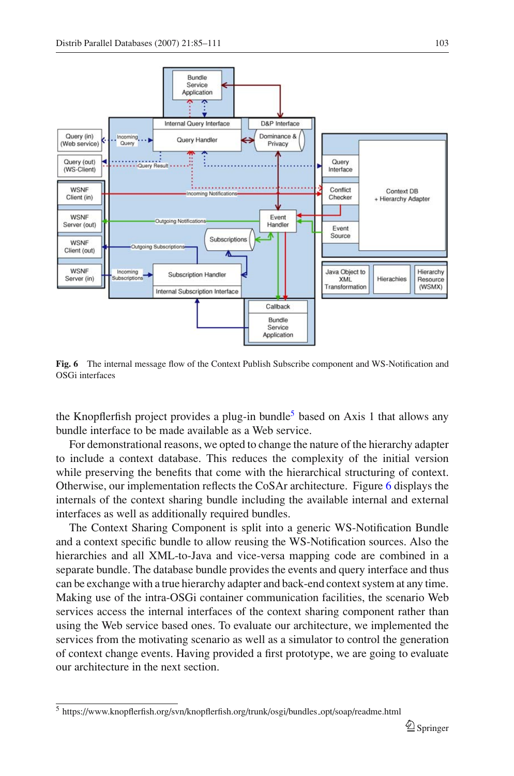<span id="page-18-1"></span>

**Fig. 6** The internal message flow of the Context Publish Subscribe component and WS-Notification and OSGi interfaces

the Knopflerfish project provides a plug-in bundle<sup>[5](#page-18-0)</sup> based on Axis 1 that allows any bundle interface to be made available as a Web service.

For demonstrational reasons, we opted to change the nature of the hierarchy adapter to include a context database. This reduces the complexity of the initial version while preserving the benefits that come with the hierarchical structuring of context. Otherwise, our implementation reflects the CoSAr architecture. Figure [6](#page-18-1) displays the internals of the context sharing bundle including the available internal and external interfaces as well as additionally required bundles.

The Context Sharing Component is split into a generic WS-Notification Bundle and a context specific bundle to allow reusing the WS-Notification sources. Also the hierarchies and all XML-to-Java and vice-versa mapping code are combined in a separate bundle. The database bundle provides the events and query interface and thus can be exchange with a true hierarchy adapter and back-end context system at any time. Making use of the intra-OSGi container communication facilities, the scenario Web services access the internal interfaces of the context sharing component rather than using the Web service based ones. To evaluate our architecture, we implemented the services from the motivating scenario as well as a simulator to control the generation of context change events. Having provided a first prototype, we are going to evaluate our architecture in the next section.

<span id="page-18-0"></span> $^5$ https://www.knopflerfish.org/svn/knopflerfish.org/trunk/osgi/bundles\_opt/soap/readme.html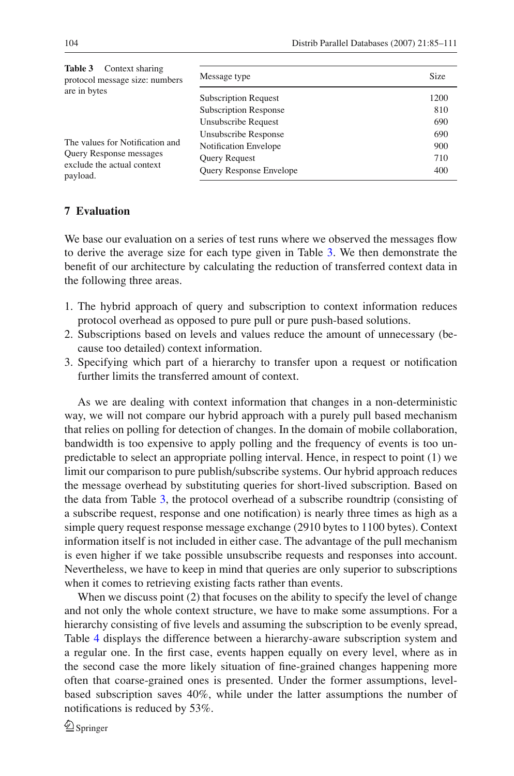<span id="page-19-1"></span>

| Table 3<br>Context sharing<br>protocol message size: numbers | Message type                   | <b>Size</b> |
|--------------------------------------------------------------|--------------------------------|-------------|
| are in bytes                                                 | <b>Subscription Request</b>    | 1200        |
|                                                              | <b>Subscription Response</b>   | 810         |
|                                                              | Unsubscribe Request            | 690         |
|                                                              | Unsubscribe Response           | 690         |
| The values for Notification and<br>Query Response messages   | Notification Envelope          | 900         |
|                                                              | <b>Ouery Request</b>           | 710         |
| exclude the actual context<br>payload.                       | <b>Ouery Response Envelope</b> | 400         |

## <span id="page-19-0"></span>**7 Evaluation**

We base our evaluation on a series of test runs where we observed the messages flow to derive the average size for each type given in Table [3.](#page-19-1) We then demonstrate the benefit of our architecture by calculating the reduction of transferred context data in the following three areas.

- 1. The hybrid approach of query and subscription to context information reduces protocol overhead as opposed to pure pull or pure push-based solutions.
- 2. Subscriptions based on levels and values reduce the amount of unnecessary (because too detailed) context information.
- 3. Specifying which part of a hierarchy to transfer upon a request or notification further limits the transferred amount of context.

As we are dealing with context information that changes in a non-deterministic way, we will not compare our hybrid approach with a purely pull based mechanism that relies on polling for detection of changes. In the domain of mobile collaboration, bandwidth is too expensive to apply polling and the frequency of events is too unpredictable to select an appropriate polling interval. Hence, in respect to point (1) we limit our comparison to pure publish/subscribe systems. Our hybrid approach reduces the message overhead by substituting queries for short-lived subscription. Based on the data from Table [3,](#page-19-1) the protocol overhead of a subscribe roundtrip (consisting of a subscribe request, response and one notification) is nearly three times as high as a simple query request response message exchange (2910 bytes to 1100 bytes). Context information itself is not included in either case. The advantage of the pull mechanism is even higher if we take possible unsubscribe requests and responses into account. Nevertheless, we have to keep in mind that queries are only superior to subscriptions when it comes to retrieving existing facts rather than events.

When we discuss point (2) that focuses on the ability to specify the level of change and not only the whole context structure, we have to make some assumptions. For a hierarchy consisting of five levels and assuming the subscription to be evenly spread, Table [4](#page-20-0) displays the difference between a hierarchy-aware subscription system and a regular one. In the first case, events happen equally on every level, where as in the second case the more likely situation of fine-grained changes happening more often that coarse-grained ones is presented. Under the former assumptions, levelbased subscription saves 40%, while under the latter assumptions the number of notifications is reduced by 53%.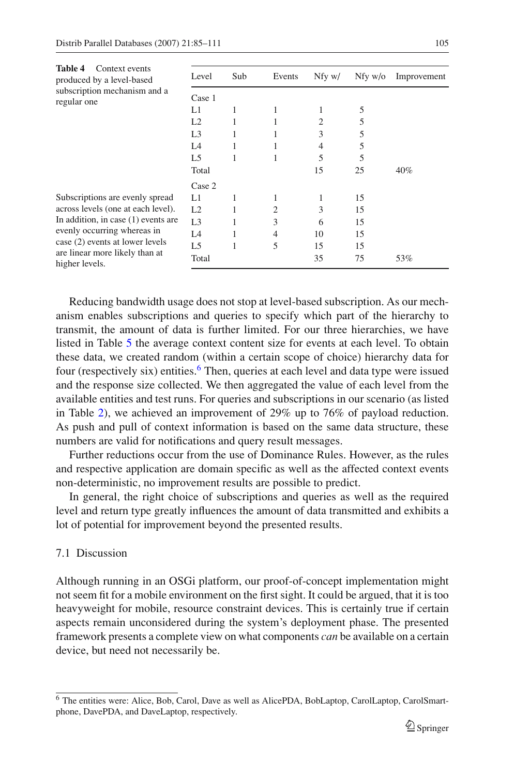<span id="page-20-0"></span>

| <b>Table 4</b><br>Context events<br>produced by a level-based | Level          | Sub | Events | $Nfy$ w/ | $Nf$ w/ $\sigma$ | Improvement |
|---------------------------------------------------------------|----------------|-----|--------|----------|------------------|-------------|
| subscription mechanism and a<br>regular one                   | Case 1         |     |        |          |                  |             |
|                                                               | L1             |     |        |          | 5                |             |
|                                                               | L <sub>2</sub> |     |        | 2        | 5                |             |
|                                                               | L3             |     |        | 3        | 5                |             |
|                                                               | IA             | 1   |        | 4        | 5                |             |
|                                                               | L5             | 1   |        | 5        | 5                |             |
|                                                               | Total          |     |        | 15       | 25               | 40%         |
|                                                               | Case 2         |     |        |          |                  |             |
| Subscriptions are evenly spread                               | L1             |     |        |          | 15               |             |
| across levels (one at each level).                            | L <sub>2</sub> |     | 2      | 3        | 15               |             |
| In addition, in case $(1)$ events are                         | L <sub>3</sub> |     | 3      | 6        | 15               |             |
| evenly occurring whereas in                                   | IA             | 1   | 4      | 10       | 15               |             |
| case (2) events at lower levels                               | L5             | 1   | 5      | 15       | 15               |             |
| are linear more likely than at<br>higher levels.              | Total          |     |        | 35       | 75               | 53%         |

Reducing bandwidth usage does not stop at level-based subscription. As our mechanism enables subscriptions and queries to specify which part of the hierarchy to transmit, the amount of data is further limited. For our three hierarchies, we have listed in Table [5](#page-21-0) the average context content size for events at each level. To obtain these data, we created random (within a certain scope of choice) hierarchy data for four (respectively six) entities.<sup>[6](#page-20-1)</sup> Then, queries at each level and data type were issued and the response size collected. We then aggregated the value of each level from the available entities and test runs. For queries and subscriptions in our scenario (as listed in Table [2\)](#page-17-1), we achieved an improvement of 29% up to 76% of payload reduction. As push and pull of context information is based on the same data structure, these numbers are valid for notifications and query result messages.

Further reductions occur from the use of Dominance Rules. However, as the rules and respective application are domain specific as well as the affected context events non-deterministic, no improvement results are possible to predict.

In general, the right choice of subscriptions and queries as well as the required level and return type greatly influences the amount of data transmitted and exhibits a lot of potential for improvement beyond the presented results.

### 7.1 Discussion

Although running in an OSGi platform, our proof-of-concept implementation might not seem fit for a mobile environment on the first sight. It could be argued, that it is too heavyweight for mobile, resource constraint devices. This is certainly true if certain aspects remain unconsidered during the system's deployment phase. The presented framework presents a complete view on what components *can* be available on a certain device, but need not necessarily be.

<span id="page-20-1"></span><sup>6</sup> The entities were: Alice, Bob, Carol, Dave as well as AlicePDA, BobLaptop, CarolLaptop, CarolSmartphone, DavePDA, and DaveLaptop, respectively.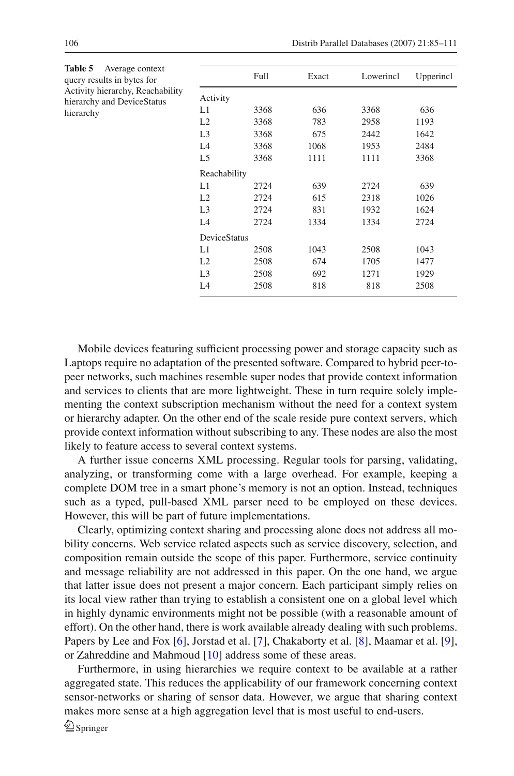<span id="page-21-0"></span>

| Table 5<br>Average context<br>query results in bytes for                    |                                                                            | Full                                 | Exact                             | Lowerincl                            | Upperincl                           |
|-----------------------------------------------------------------------------|----------------------------------------------------------------------------|--------------------------------------|-----------------------------------|--------------------------------------|-------------------------------------|
| Activity hierarchy, Reachability<br>hierarchy and DeviceStatus<br>hierarchy | Activity<br>L1<br>L2<br>L <sub>3</sub><br>L <sub>4</sub><br>L <sub>5</sub> | 3368<br>3368<br>3368<br>3368<br>3368 | 636<br>783<br>675<br>1068<br>1111 | 3368<br>2958<br>2442<br>1953<br>1111 | 636<br>1193<br>1642<br>2484<br>3368 |
|                                                                             | Reachability<br>L1<br>L2<br>L <sub>3</sub><br>L <sub>4</sub>               | 2724<br>2724<br>2724<br>2724         | 639<br>615<br>831<br>1334         | 2724<br>2318<br>1932<br>1334         | 639<br>1026<br>1624<br>2724         |
|                                                                             | DeviceStatus<br>L1<br>L2<br>L <sub>3</sub><br>L4                           | 2508<br>2508<br>2508<br>2508         | 1043<br>674<br>692<br>818         | 2508<br>1705<br>1271<br>818          | 1043<br>1477<br>1929<br>2508        |

Mobile devices featuring sufficient processing power and storage capacity such as Laptops require no adaptation of the presented software. Compared to hybrid peer-topeer networks, such machines resemble super nodes that provide context information and services to clients that are more lightweight. These in turn require solely implementing the context subscription mechanism without the need for a context system or hierarchy adapter. On the other end of the scale reside pure context servers, which provide context information without subscribing to any. These nodes are also the most likely to feature access to several context systems.

A further issue concerns XML processing. Regular tools for parsing, validating, analyzing, or transforming come with a large overhead. For example, keeping a complete DOM tree in a smart phone's memory is not an option. Instead, techniques such as a typed, pull-based XML parser need to be employed on these devices. However, this will be part of future implementations.

Clearly, optimizing context sharing and processing alone does not address all mobility concerns. Web service related aspects such as service discovery, selection, and composition remain outside the scope of this paper. Furthermore, service continuity and message reliability are not addressed in this paper. On the one hand, we argue that latter issue does not present a major concern. Each participant simply relies on its local view rather than trying to establish a consistent one on a global level which in highly dynamic environments might not be possible (with a reasonable amount of effort). On the other hand, there is work available already dealing with such problems. Papers by Lee and Fox [\[6\]](#page-25-5), Jorstad et al. [\[7\]](#page-25-6), Chakaborty et al. [\[8\]](#page-25-7), Maamar et al. [\[9\]](#page-25-8), or Zahreddine and Mahmoud [\[10\]](#page-25-9) address some of these areas.

Furthermore, in using hierarchies we require context to be available at a rather aggregated state. This reduces the applicability of our framework concerning context sensor-networks or sharing of sensor data. However, we argue that sharing context makes more sense at a high aggregation level that is most useful to end-users.  $\mathcal{Q}_{\text{Springer}}$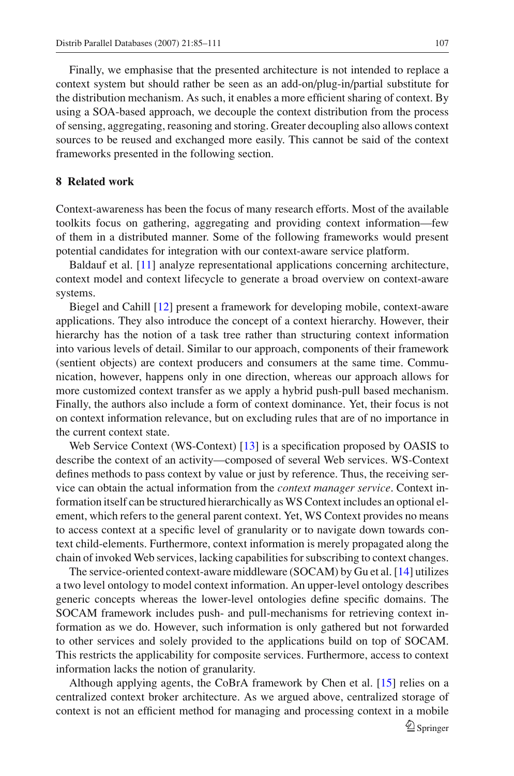Finally, we emphasise that the presented architecture is not intended to replace a context system but should rather be seen as an add-on/plug-in/partial substitute for the distribution mechanism. As such, it enables a more efficient sharing of context. By using a SOA-based approach, we decouple the context distribution from the process of sensing, aggregating, reasoning and storing. Greater decoupling also allows context sources to be reused and exchanged more easily. This cannot be said of the context frameworks presented in the following section.

## <span id="page-22-0"></span>**8 Related work**

Context-awareness has been the focus of many research efforts. Most of the available toolkits focus on gathering, aggregating and providing context information—few of them in a distributed manner. Some of the following frameworks would present potential candidates for integration with our context-aware service platform.

Baldauf et al. [\[11\]](#page-25-10) analyze representational applications concerning architecture, context model and context lifecycle to generate a broad overview on context-aware systems.

Biegel and Cahill [\[12\]](#page-25-11) present a framework for developing mobile, context-aware applications. They also introduce the concept of a context hierarchy. However, their hierarchy has the notion of a task tree rather than structuring context information into various levels of detail. Similar to our approach, components of their framework (sentient objects) are context producers and consumers at the same time. Communication, however, happens only in one direction, whereas our approach allows for more customized context transfer as we apply a hybrid push-pull based mechanism. Finally, the authors also include a form of context dominance. Yet, their focus is not on context information relevance, but on excluding rules that are of no importance in the current context state.

Web Service Context (WS-Context) [\[13\]](#page-25-12) is a specification proposed by OASIS to describe the context of an activity—composed of several Web services. WS-Context defines methods to pass context by value or just by reference. Thus, the receiving service can obtain the actual information from the *context manager service*. Context information itself can be structured hierarchically as WS Context includes an optional element, which refers to the general parent context. Yet, WS Context provides no means to access context at a specific level of granularity or to navigate down towards context child-elements. Furthermore, context information is merely propagated along the chain of invoked Web services, lacking capabilities for subscribing to context changes.

The service-oriented context-aware middleware (SOCAM) by Gu et al. [\[14\]](#page-25-13) utilizes a two level ontology to model context information. An upper-level ontology describes generic concepts whereas the lower-level ontologies define specific domains. The SOCAM framework includes push- and pull-mechanisms for retrieving context information as we do. However, such information is only gathered but not forwarded to other services and solely provided to the applications build on top of SOCAM. This restricts the applicability for composite services. Furthermore, access to context information lacks the notion of granularity.

Although applying agents, the CoBrA framework by Chen et al. [\[15\]](#page-26-0) relies on a centralized context broker architecture. As we argued above, centralized storage of context is not an efficient method for managing and processing context in a mobile  $\mathcal{Q}$  Springer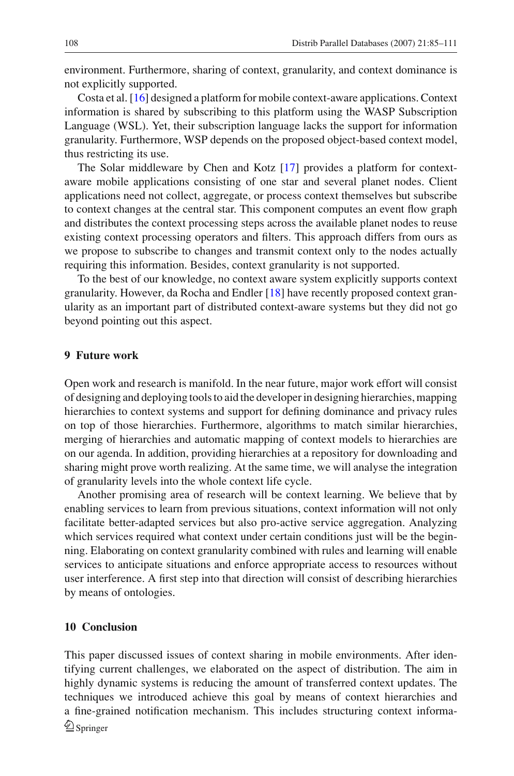environment. Furthermore, sharing of context, granularity, and context dominance is not explicitly supported.

Costa et al. [\[16\]](#page-26-1) designed a platform for mobile context-aware applications. Context information is shared by subscribing to this platform using the WASP Subscription Language (WSL). Yet, their subscription language lacks the support for information granularity. Furthermore, WSP depends on the proposed object-based context model, thus restricting its use.

The Solar middleware by Chen and Kotz [\[17\]](#page-26-2) provides a platform for contextaware mobile applications consisting of one star and several planet nodes. Client applications need not collect, aggregate, or process context themselves but subscribe to context changes at the central star. This component computes an event flow graph and distributes the context processing steps across the available planet nodes to reuse existing context processing operators and filters. This approach differs from ours as we propose to subscribe to changes and transmit context only to the nodes actually requiring this information. Besides, context granularity is not supported.

To the best of our knowledge, no context aware system explicitly supports context granularity. However, da Rocha and Endler [\[18\]](#page-26-3) have recently proposed context granularity as an important part of distributed context-aware systems but they did not go beyond pointing out this aspect.

## <span id="page-23-0"></span>**9 Future work**

Open work and research is manifold. In the near future, major work effort will consist of designing and deploying tools to aid the developer in designing hierarchies, mapping hierarchies to context systems and support for defining dominance and privacy rules on top of those hierarchies. Furthermore, algorithms to match similar hierarchies, merging of hierarchies and automatic mapping of context models to hierarchies are on our agenda. In addition, providing hierarchies at a repository for downloading and sharing might prove worth realizing. At the same time, we will analyse the integration of granularity levels into the whole context life cycle.

Another promising area of research will be context learning. We believe that by enabling services to learn from previous situations, context information will not only facilitate better-adapted services but also pro-active service aggregation. Analyzing which services required what context under certain conditions just will be the beginning. Elaborating on context granularity combined with rules and learning will enable services to anticipate situations and enforce appropriate access to resources without user interference. A first step into that direction will consist of describing hierarchies by means of ontologies.

## <span id="page-23-1"></span>**10 Conclusion**

This paper discussed issues of context sharing in mobile environments. After identifying current challenges, we elaborated on the aspect of distribution. The aim in highly dynamic systems is reducing the amount of transferred context updates. The techniques we introduced achieve this goal by means of context hierarchies and a fine-grained notification mechanism. This includes structuring context informa- $\mathcal{Q}_{\text{Springer}}$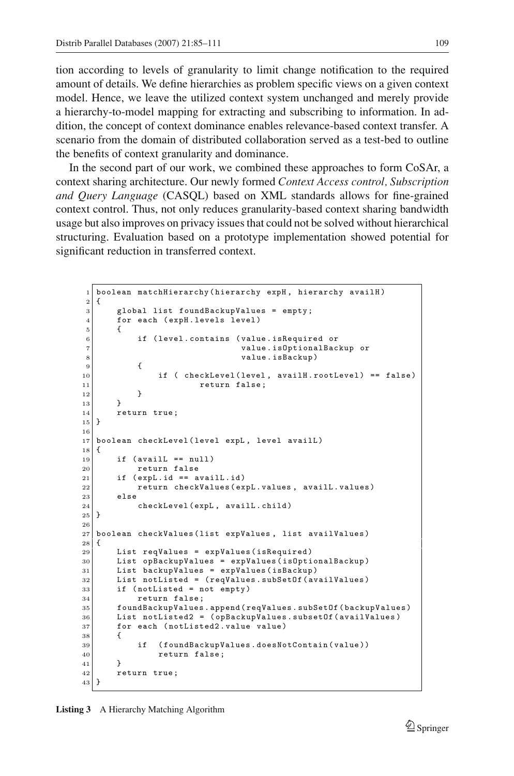tion according to levels of granularity to limit change notification to the required amount of details. We define hierarchies as problem specific views on a given context model. Hence, we leave the utilized context system unchanged and merely provide a hierarchy-to-model mapping for extracting and subscribing to information. In addition, the concept of context dominance enables relevance-based context transfer. A scenario from the domain of distributed collaboration served as a test-bed to outline the benefits of context granularity and dominance.

In the second part of our work, we combined these approaches to form CoSAr, a context sharing architecture. Our newly formed *Context Access control, Subscription and Query Language* (CASQL) based on XML standards allows for fine-grained context control. Thus, not only reduces granularity-based context sharing bandwidth usage but also improves on privacy issues that could not be solved without hierarchical structuring. Evaluation based on a prototype implementation showed potential for significant reduction in transferred context.

```
1 boolean matchHierarchy(hierarchy expH, hierarchy availH)
\begin{array}{c} 2 \\ 3 \end{array} {
      global list foundBackupValues = empty;
4 for each (expH.levels level)
5 {
6 if (level.contains ( value. isRequired or
7 value.isOptionalBackup or<br>value.isBackup)
                             value.isBackup)
 9 {
10 if ( checkLevel (level, availH.rootLevel) == false)
11 12 return false;
12 }
13 }
14 return true;
15 }
16
17 boolean checkLevel (level expL, level availL)
18 {
19 if (availL == null)
20 return false
21 if (expL.id == availL.id)
22 return checkValues(expL. values , availL.values)
23 else
24 checkLevel(expL , availL.child)
25 }
26
27 boolean checkValues(list expValues , list availValues)
28 {
29 List reqValues = expValues(isRequired)
30 List opBackupValues = expValues( isOptionalBackup)
31 List backupValues = expValues(isBackup)
32 List notListed = (reqValues.subSetOf(availValues)
33 if (notListed = not empty)
34 return false;<br>35 foundBackupValues
      35 foundBackupValues. append(reqValues.subSetOf(backupValues)
36 List notListed2 = (opBackupValues.subsetOf(availValues)
37 for each ( notListed2. value value)
38 {
39 if (foundBackupValues.doesNotContain( value))
40 return false;
41 }
42 return true;
43 }
```
**Listing 3** A Hierarchy Matching Algorithm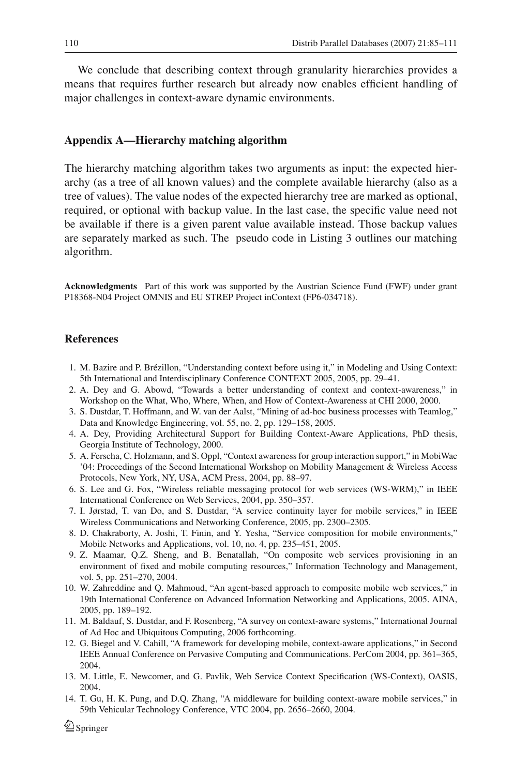We conclude that describing context through granularity hierarchies provides a means that requires further research but already now enables efficient handling of major challenges in context-aware dynamic environments.

### **Appendix A—Hierarchy matching algorithm**

The hierarchy matching algorithm takes two arguments as input: the expected hierarchy (as a tree of all known values) and the complete available hierarchy (also as a tree of values). The value nodes of the expected hierarchy tree are marked as optional, required, or optional with backup value. In the last case, the specific value need not be available if there is a given parent value available instead. Those backup values are separately marked as such. The pseudo code in Listing 3 outlines our matching algorithm.

**Acknowledgments** Part of this work was supported by the Austrian Science Fund (FWF) under grant P18368-N04 Project OMNIS and EU STREP Project inContext (FP6-034718).

### **References**

- 1. M. Bazire and P. Brezillon, "Understanding context before using it," in Modeling and Using Context: ´ 5th International and Interdisciplinary Conference CONTEXT 2005, 2005, pp. 29–41.
- <span id="page-25-0"></span>2. A. Dey and G. Abowd, "Towards a better understanding of context and context-awareness," in Workshop on the What, Who, Where, When, and How of Context-Awareness at CHI 2000, 2000.
- <span id="page-25-1"></span>3. S. Dustdar, T. Hoffmann, and W. van der Aalst, "Mining of ad-hoc business processes with Teamlog," Data and Knowledge Engineering, vol. 55, no. 2, pp. 129–158, 2005.
- <span id="page-25-2"></span>4. A. Dey, Providing Architectural Support for Building Context-Aware Applications, PhD thesis, Georgia Institute of Technology, 2000.
- <span id="page-25-3"></span>5. A. Ferscha, C. Holzmann, and S. Oppl, "Context awareness for group interaction support," in MobiWac '04: Proceedings of the Second International Workshop on Mobility Management & Wireless Access Protocols, New York, NY, USA, ACM Press, 2004, pp. 88–97.
- <span id="page-25-4"></span>6. S. Lee and G. Fox, "Wireless reliable messaging protocol for web services (WS-WRM)," in IEEE International Conference on Web Services, 2004, pp. 350–357.
- <span id="page-25-5"></span>7. I. Jørstad, T. van Do, and S. Dustdar, "A service continuity layer for mobile services," in IEEE Wireless Communications and Networking Conference, 2005, pp. 2300–2305.
- <span id="page-25-6"></span>8. D. Chakraborty, A. Joshi, T. Finin, and Y. Yesha, "Service composition for mobile environments," Mobile Networks and Applications, vol. 10, no. 4, pp. 235–451, 2005.
- <span id="page-25-7"></span>9. Z. Maamar, Q.Z. Sheng, and B. Benatallah, "On composite web services provisioning in an environment of fixed and mobile computing resources," Information Technology and Management, vol. 5, pp. 251–270, 2004.
- <span id="page-25-8"></span>10. W. Zahreddine and Q. Mahmoud, "An agent-based approach to composite mobile web services," in 19th International Conference on Advanced Information Networking and Applications, 2005. AINA, 2005, pp. 189–192.
- <span id="page-25-9"></span>11. M. Baldauf, S. Dustdar, and F. Rosenberg, "A survey on context-aware systems," International Journal of Ad Hoc and Ubiquitous Computing, 2006 forthcoming.
- <span id="page-25-10"></span>12. G. Biegel and V. Cahill, "A framework for developing mobile, context-aware applications," in Second IEEE Annual Conference on Pervasive Computing and Communications. PerCom 2004, pp. 361–365, 2004.
- <span id="page-25-11"></span>13. M. Little, E. Newcomer, and G. Pavlik, Web Service Context Specification (WS-Context), OASIS, 2004.
- <span id="page-25-13"></span><span id="page-25-12"></span>14. T. Gu, H. K. Pung, and D.Q. Zhang, "A middleware for building context-aware mobile services," in 59th Vehicular Technology Conference, VTC 2004, pp. 2656–2660, 2004.